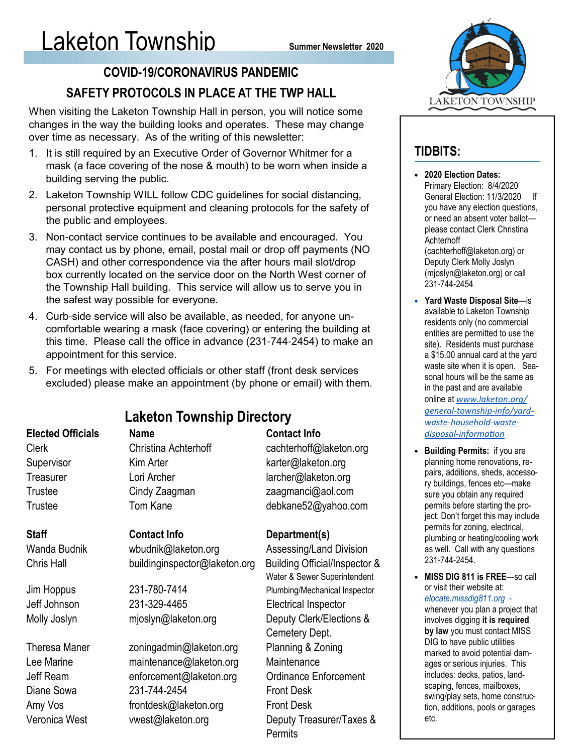### COVID-19/CORONAVIRUS PANDEMIC SAFETY PROTOCOLS IN PLACE AT THE TWP HALL

When visiting the Laketon Township Hall in person, you will notice some changes in the way the building looks and operates. These may change over time as necessary. As of the writing of this newsletter:

- 1. It is still required by an Executive Order of Governor Whitmer for a mask (a face covering of the nose & mouth) to be worn when inside a building serving the public.
- 2. Laketon Township WILL follow CDC guidelines for social distancing, personal protective equipment and cleaning protocols for the safety of the public and employees.
- 3. Non-contact service continues to be available and encouraged. You may contact us by phone, email, postal mail or drop off payments (NO CASH) and other correspondence via the after hours mail slot/drop box currently located on the service door on the North West corner of the Township Hall building. This service will allow us to serve you in the safest way possible for everyone.
- 4. Curb-side service will also be available, as needed, for anyone uncomfortable wearing a mask (face covering) or entering the building at this time. Please call the office in advance (231-744-2454) to make an appointment for this service.
- 5. For meetings with elected officials or other staff (front desk services excluded) please make an appointment (by phone or email) with them.

| <b>Laketon Township Directory</b> |                               |                               | <u>gene</u><br>wast       |
|-----------------------------------|-------------------------------|-------------------------------|---------------------------|
| <b>Elected Officials</b>          | <b>Name</b>                   | <b>Contact Info</b>           | <u>dispi</u>              |
| <b>Clerk</b>                      | Christina Achterhoff          | cachterhoff@laketon.org       | <b>Build</b>              |
| Supervisor                        | Kim Arter                     | karter@laketon.org            | planr                     |
| Treasurer                         | Lori Archer                   | larcher@laketon.org           | pairs                     |
| <b>Trustee</b>                    | Cindy Zaagman                 | zaagmanci@aol.com             | ry bu<br>sure             |
| Trustee                           | Tom Kane                      | debkane52@yahoo.com           | perm                      |
|                                   |                               |                               | ject.                     |
| <b>Staff</b>                      | <b>Contact Info</b>           | Department(s)                 | perm<br>plum              |
| Wanda Budnik                      | wbudnik@laketon.org           | Assessing/Land Division       | as w                      |
| Chris Hall                        | buildinginspector@laketon.org | Building Official/Inspector & | $231 -$                   |
|                                   |                               | Water & Sewer Superintendent  | <b>MISS</b>               |
| Jim Hoppus                        | 231-780-7414                  | Plumbing/Mechanical Inspector | or vis<br>eloca           |
| Jeff Johnson                      | 231-329-4465                  | <b>Electrical Inspector</b>   | wher                      |
| Molly Joslyn                      | mjoslyn@laketon.org           | Deputy Clerk/Elections &      | invol                     |
|                                   |                               | Cemetery Dept.                | by la<br>DIG <sub>1</sub> |
| <b>Theresa Maner</b>              | zoningadmin@laketon.org       | Planning & Zoning             | mark                      |
| Lee Marine                        | maintenance@laketon.org       | Maintenance                   | ages                      |
| Jeff Ream                         | enforcement@laketon.org       | <b>Ordinance Enforcement</b>  | inclu                     |
| Diane Sowa                        | 231-744-2454                  | <b>Front Desk</b>             | scap<br>swin              |
| Amy Vos                           | frontdesk@laketon.org         | <b>Front Desk</b>             | tion,                     |
| Veronica West                     | vwest@laketon.org             | Deputy Treasurer/Taxes &      | etc.                      |
|                                   |                               | Permits                       |                           |



### TIDBITS:

- 2020 Election Dates: Primary Election: 8/4/2020 General Election: 11/3/2020 If you have any election questions, or need an absent voter ballot please contact Clerk Christina Achterhoff (cachterhoff@laketon.org) or Deputy Clerk Molly Joslyn (mjoslyn@laketon.org) or call 231-744-2454
- Yard Waste Disposal Site—is available to Laketon Township residents only (no commercial entities are permitted to use the site). Residents must purchase a \$15.00 annual card at the yard waste site when it is open. Seasonal hours will be the same as in the past and are available online at www.laketon.org/ ral-township-info/yarde-household-wasteosal-information
- ding Permits: if you are hing home renovations, readditions, sheds, accessoildings, fences etc—make you obtain any required its before starting the pro-Don't forget this may include its for zoning, electrical, bing or heating/cooling work ell. Call with any questions 231-744-2454.
- **DIG 811 is FREE**—so call sit their website at: elocate.missdig811.org ever you plan a project that ves digging it is required w you must contact MISS to have public utilities ed to avoid potential damor serious injuries. This des: decks, patios, landing, fences, mailboxes, g/play sets, home construcadditions, pools or garages